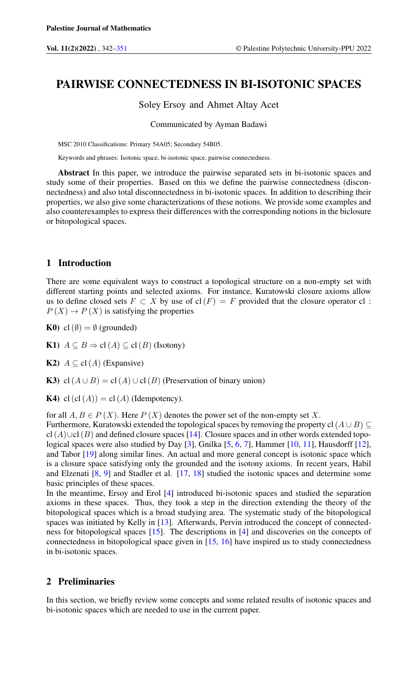# PAIRWISE CONNECTEDNESS IN BI-ISOTONIC SPACES

Soley Ersoy and Ahmet Altay Acet

Communicated by Ayman Badawi

MSC 2010 Classifications: Primary 54A05; Secondary 54B05.

Keywords and phrases: Isotonic space, bi-isotonic space, pairwise connectedness.

Abstract In this paper, we introduce the pairwise separated sets in bi-isotonic spaces and study some of their properties. Based on this we define the pairwise connectedness (disconnectedness) and also total disconnectedness in bi-isotonic spaces. In addition to describing their properties, we also give some characterizations of these notions. We provide some examples and also counterexamples to express their differences with the corresponding notions in the biclosure or bitopological spaces.

## 1 Introduction

There are some equivalent ways to construct a topological structure on a non-empty set with different starting points and selected axioms. For instance, Kuratowski closure axioms allow us to define closed sets  $F \subset X$  by use of cl(F) = F provided that the closure operator cl:  $P(X) \rightarrow P(X)$  is satisfying the properties

K0) cl( $\emptyset$ ) =  $\emptyset$  (grounded)

K1)  $A \subseteq B \Rightarrow cl(A) \subseteq cl(B)$  (Isotony)

K2)  $A \subseteq cl(A)$  (Expansive)

K3) cl( $A \cup B$ ) = cl( $A$ ) ∪ cl( $B$ ) (Preservation of binary union)

K4) cl(cl(A)) = cl(A) (Idempotency).

for all  $A, B \in P(X)$ . Here  $P(X)$  denotes the power set of the non-empty set X.

Furthermore, Kuratowski extended the topological spaces by removing the property cl( $A \cup B$ ) ⊆ cl(A)∪cl(B) and defined closure spaces [\[14\]](#page-9-0). Closure spaces and in other words extended topo-logical spaces were also studied by Day [\[3\]](#page-8-1), Gnilka [\[5,](#page-9-1) [6,](#page-9-2) [7\]](#page-9-3), Hammer [\[10,](#page-9-4) [11\]](#page-9-5), Hausdorff [\[12\]](#page-9-6), and Tabor [\[19\]](#page-9-7) along similar lines. An actual and more general concept is isotonic space which is a closure space satisfying only the grounded and the isotony axioms. In recent years, Habil and Elzenati [\[8,](#page-9-8) [9\]](#page-9-9) and Stadler et al. [\[17,](#page-9-10) [18\]](#page-9-11) studied the isotonic spaces and determine some basic principles of these spaces.

In the meantime, Ersoy and Erol [\[4\]](#page-9-12) introduced bi-isotonic spaces and studied the separation axioms in these spaces. Thus, they took a step in the direction extending the theory of the bitopological spaces which is a broad studying area. The systematic study of the bitopological spaces was initiated by Kelly in [\[13\]](#page-9-13). Afterwards, Pervin introduced the concept of connectedness for bitopological spaces [\[15\]](#page-9-14). The descriptions in [\[4\]](#page-9-12) and discoveries on the concepts of connectedness in bitopological space given in [\[15,](#page-9-14) [16\]](#page-9-15) have inspired us to study connectedness in bi-isotonic spaces.

# 2 Preliminaries

In this section, we briefly review some concepts and some related results of isotonic spaces and bi-isotonic spaces which are needed to use in the current paper.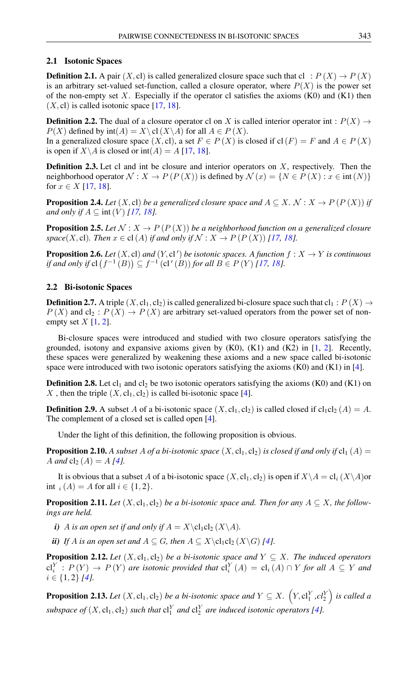#### 2.1 Isotonic Spaces

**Definition 2.1.** A pair  $(X, c)$  is called generalized closure space such that cl :  $P(X) \rightarrow P(X)$ is an arbitrary set-valued set-function, called a closure operator, where  $P(X)$  is the power set of the non-empty set X. Especially if the operator cl satisfies the axioms  $(K0)$  and  $(K1)$  then  $(X, c)$  is called isotonic space [\[17,](#page-9-10) [18\]](#page-9-11).

<span id="page-1-0"></span>**Definition 2.2.** The dual of a closure operator cl on X is called interior operator int :  $P(X) \rightarrow$  $P(X)$  defined by  $\text{int}(A) = X \setminus \text{cl}(X \setminus A)$  for all  $A \in P(X)$ . In a generalized closure space  $(X, cl)$ , a set  $F \in P(X)$  is closed if  $cl(F) = F$  and  $A \in P(X)$ 

is open if  $X \backslash A$  is closed or int(A) = A [\[17,](#page-9-10) [18\]](#page-9-11).

**Definition 2.3.** Let cl and int be closure and interior operators on  $X$ , respectively. Then the neighborhood operator  $\mathcal{N}: X \to P(P(X))$  is defined by  $\mathcal{N}(x) = \{N \in P(X) : x \in \text{int}(N)\}\$ for  $x \in X$  [\[17,](#page-9-10) [18\]](#page-9-11).

**Proposition 2.4.** *Let* (X, cl) *be a generalized closure space and*  $A \subseteq X$ *.*  $\mathcal{N}: X \to P(P(X))$  *if and only if*  $A \subseteq \text{int}(V)$  [\[17,](#page-9-10) [18\]](#page-9-11)*.* 

**Proposition 2.5.** Let  $N: X \to P(P(X))$  be a neighborhood function on a generalized closure *space*(*X*, cl)*. Then*  $x \in cl(A)$  *if and only if*  $\mathcal{N}: X \to P(P(X))$  [\[17,](#page-9-10) [18\]](#page-9-11)*.* 

**Proposition 2.6.** Let  $(X, \text{cl})$  and  $(Y, \text{cl'})$  be isotonic spaces. A function  $f : X \to Y$  is continuous *if and only if*  $cl$   $(f^{-1}(B)) \subseteq f^{-1}(cl'(B))$  *for all*  $B \in P(Y)$  [\[17,](#page-9-10) [18\]](#page-9-11)*.* 

#### 2.2 Bi-isotonic Spaces

**Definition 2.7.** A triple  $(X, cl_1, cl_2)$  is called generalized bi-closure space such that  $cl_1 : P(X) \rightarrow$  $P(X)$  and  $cl_2: P(X) \rightarrow P(X)$  are arbitrary set-valued operators from the power set of nonempty set  $X$  [\[1,](#page-8-2) [2\]](#page-8-3).

Bi-closure spaces were introduced and studied with two closure operators satisfying the grounded, isotony and expansive axioms given by  $(K0)$ ,  $(K1)$  and  $(K2)$  in  $[1, 2]$  $[1, 2]$  $[1, 2]$ . Recently, these spaces were generalized by weakening these axioms and a new space called bi-isotonic space were introduced with two isotonic operators satisfying the axioms  $(K0)$  and  $(K1)$  in [\[4\]](#page-9-12).

**Definition 2.8.** Let  $cl_1$  and  $cl_2$  be two isotonic operators satisfying the axioms (K0) and (K1) on X, then the triple  $(X, cl_1, cl_2)$  is called bi-isotonic space [\[4\]](#page-9-12).

**Definition 2.9.** A subset A of a bi-isotonic space  $(X, cl_1, cl_2)$  is called closed if  $cl_1cl_2(A) = A$ . The complement of a closed set is called open [\[4\]](#page-9-12).

Under the light of this definition, the following proposition is obvious.

**Proposition 2.10.** A subset A of a bi-isotonic space  $(X, cl_1, cl_2)$  is closed if and only if  $cl_1(A)$  = A and  $cl_2(A) = A[4]$  $cl_2(A) = A[4]$ *.* 

It is obvious that a subset A of a bi-isotonic space  $(X, cl_1, cl_2)$  is open if  $X \setminus A = cl_i (X \setminus A)$ or int  $_i(A) = A$  for all  $i \in \{1, 2\}.$ 

**Proposition 2.11.** *Let*  $(X, cl_1, cl_2)$  *be a bi-isotonic space and. Then for any*  $A \subseteq X$ *, the followings are held.*

*i*) *A is an open set if and only if*  $A = X \clap{{c1_2(X \A)}$ .

*ii) If A is an open set and*  $A \subseteq G$ *, then*  $A \subseteq X \backslash cl_1cl_2(X \backslash G)$  [\[4\]](#page-9-12)*.* 

<span id="page-1-1"></span>**Proposition 2.12.** Let  $(X, cl_1, cl_2)$  be a bi-isotonic space and  $Y \subseteq X$ . The induced operators  $\text{cl}_i^Y: P(Y) \to P(Y)$  are isotonic provided that  $\text{cl}_i^Y(A) = \text{cl}_i(A) \cap Y$  *for all*  $A \subseteq Y$  and i ∈ {1, 2} *[\[4\]](#page-9-12).*

**Proposition 2.13.** Let  $(X, \text{cl}_1, \text{cl}_2)$  be a bi-isotonic space and  $Y \subseteq X$ .  $(Y, \text{cl}_1^Y, \text{cl}_2^Y)$  is called a *subspace of*  $(X, cl_1, cl_2)$  *such that*  $cl_1^Y$  *and*  $cl_2^Y$  *are induced isotonic operators* [\[4\]](#page-9-12)*.*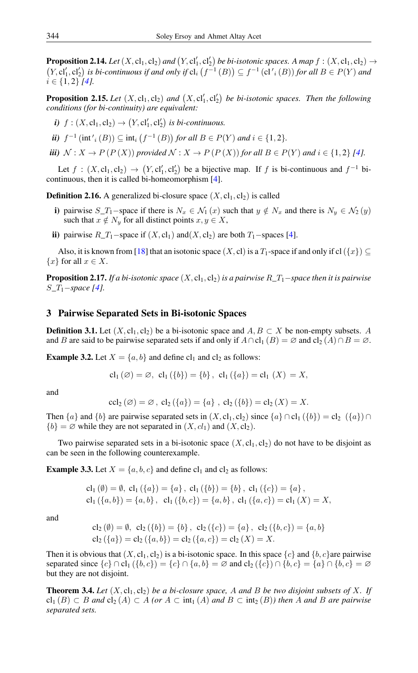<span id="page-2-0"></span>**Proposition 2.14.** Let  $(X, cl_1, cl_2)$  and  $(Y, cl'_1, cl'_2)$  be bi-isotonic spaces. A map  $f : (X, cl_1, cl_2) \rightarrow$  $(Y, cl'_1, cl'_2)$  is bi-continuous if and only if  $cl_i(f^{-1}(B)) \subseteq f^{-1}(cl'_i(B))$  for all  $B \in P(Y)$  and  $i \in \{1, 2\}$  [\[4\]](#page-9-12)*.* 

**Proposition 2.15.** Let  $(X, cl_1, cl_2)$  and  $(X, cl'_1, cl'_2)$  be bi-isotonic spaces. Then the following *conditions (for bi-continuity) are equivalent:*

*i*)  $f : (X, \text{cl}_1, \text{cl}_2) \to (Y, \text{cl}'_1, \text{cl}'_2)$  *is bi-continuous.* 

*ii*)  $f^{-1}$   $(int'_{i}(B)) \subseteq int_{i} (f^{-1}(B))$  for all  $B \in P(Y)$  and  $i \in \{1,2\}$ *.* 

*iii)*  $N: X \rightarrow P(P(X))$  *provided*  $N: X \rightarrow P(P(X))$  *for all*  $B \in P(Y)$  *and*  $i \in \{1, 2\}$  [\[4\]](#page-9-12)*.* 

Let  $f : (X, \text{cl}_1, \text{cl}_2) \to (Y, \text{cl}'_1, \text{cl}'_2)$  be a bijective map. If f is bi-continuous and  $f^{-1}$  bicontinuous, then it is called bi-homeomorphism [\[4\]](#page-9-12).

**Definition 2.16.** A generalized bi-closure space  $(X, cl_1, cl_2)$  is called

- i) pairwise  $S_T_1$ –space if there is  $N_x \in \mathcal{N}_1(x)$  such that  $y \notin N_x$  and there is  $N_y \in \mathcal{N}_2(y)$ such that  $x \notin N_y$  for all distinct points  $x, y \in X$ ,
- ii) pairwise  $R_T$ <sub>1</sub>−space if  $(X, c_1)$  and $(X, c_2)$  are both  $T_1$ −spaces [\[4\]](#page-9-12).

Also, it is known from [\[18\]](#page-9-11) that an isotonic space  $(X, cl)$  is a  $T_1$ -space if and only if cl( $\{x\}$ )  $\subseteq$  ${x}$  for all  $x \in X$ .

Proposition 2.17. *If a bi-isotonic space* (X, cl1, cl2) *is a pairwise* R*\_*T1−*space then it is pairwise* S*\_*T1−*space [\[4\]](#page-9-12).*

## 3 Pairwise Separated Sets in Bi-isotonic Spaces

**Definition 3.1.** Let  $(X, cl_1, cl_2)$  be a bi-isotonic space and  $A, B \subset X$  be non-empty subsets. A and B are said to be pairwise separated sets if and only if  $A \cap cl_1(B) = \emptyset$  and  $cl_2(A) \cap B = \emptyset$ .

<span id="page-2-1"></span>**Example 3.2.** Let  $X = \{a, b\}$  and define cl<sub>1</sub> and cl<sub>2</sub> as follows:

$$
cl_1(\emptyset) = \emptyset
$$
,  $cl_1(\{b\}) = \{b\}$ ,  $cl_1(\{a\}) = cl_1(X) = X$ ,

and

$$
ccl_2(\emptyset) = \emptyset, cl_2({a}) = {a}, cl_2({b}) = cl_2(X) = X.
$$

Then  $\{a\}$  and  $\{b\}$  are pairwise separated sets in  $(X, cl_1, cl_2)$  since  $\{a\} \cap cl_1(\{b\}) = cl_2(\{a\}) \cap$  ${b} = \emptyset$  while they are not separated in  $(X, cl_1)$  and  $(X, cl_2)$ .

Two pairwise separated sets in a bi-isotonic space  $(X, cl_1, cl_2)$  do not have to be disjoint as can be seen in the following counterexample.

**Example 3.3.** Let  $X = \{a, b, c\}$  and define cl<sub>1</sub> and cl<sub>2</sub> as follows:

cl<sub>1</sub> ( $\emptyset$ ) =  $\emptyset$ , cl<sub>1</sub> ( $\{a\}$ ) =  $\{a\}$ , cl<sub>1</sub> ( $\{b\}$ ) =  $\{b\}$ , cl<sub>1</sub> ( $\{c\}$ ) =  $\{a\}$ ,  $cl_1({a, b}) = {a, b}$ ,  $cl_1({b, c}) = {a, b}$ ,  $cl_1({a, c}) = cl_1(X) = X$ ,

and

$$
\text{cl}_2(\emptyset) = \emptyset, \ \text{cl}_2(\{b\}) = \{b\}, \ \text{cl}_2(\{c\}) = \{a\}, \ \text{cl}_2(\{b,c\}) = \{a,b\}
$$
\n
$$
\text{cl}_2(\{a\}) = \text{cl}_2(\{a,b\}) = \text{cl}_2(\{a,c\}) = \text{cl}_2(X) = X.
$$

Then it is obvious that  $(X, cl_1, cl_2)$  is a bi-isotonic space. In this space  ${c}$  and  ${b, c}$  are pairwise separated since  ${c} \cap cl_1({b, c}) = {c} \cap {a, b} = \emptyset$  and  $cl_2({c} \cap {b, c} = {a} \cap {b, c} = \emptyset$ but they are not disjoint.

**Theorem 3.4.** Let  $(X, cl_1, cl_2)$  be a bi-closure space, A and B be two disjoint subsets of X. If  $cl_1(B) ⊂ B$  *and*  $cl_2(A) ⊂ A$  *(or*  $A ⊂ int_1(A)$  *and*  $B ⊂ int_2(B)$ *) then* A *and* B are pairwise *separated sets.*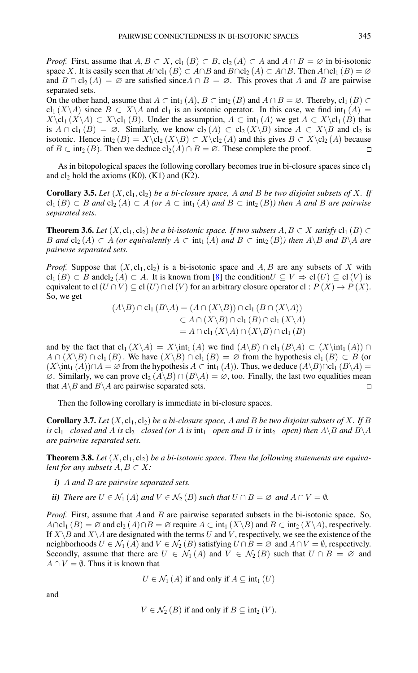*Proof.* First, assume that  $A, B \subset X$ , cl<sub>1</sub> (B)  $\subset B$ , cl<sub>2</sub> (A)  $\subset A$  and  $A \cap B = \emptyset$  in bi-isotonic space X. It is easily seen that  $A \cap \text{cl}_1(B) \subset A \cap B$  and  $B \cap \text{cl}_2(A) \subset A \cap B$ . Then  $A \cap \text{cl}_1(B) = \emptyset$ and  $B \cap cl_2(A) = \emptyset$  are satisfied since  $A \cap B = \emptyset$ . This proves that A and B are pairwise separated sets.

On the other hand, assume that  $A \subset \text{int}_1(A)$ ,  $B \subset \text{int}_2(B)$  and  $A \cap B = \emptyset$ . Thereby,  $\text{cl}_1(B) \subset$ cl<sub>1</sub> (X\A) since  $B \subset X\backslash A$  and cl<sub>1</sub> is an isotonic operator. In this case, we find int<sub>1</sub> (A) =  $X\clap{-}cl_1 (X\A) \subset X\clap{-}cl_1 (B)$ . Under the assumption,  $A \subset \int (A)$  we get  $A \subset X\clap{-}cl_1 (B)$  that is  $A \cap cl_1(B) = \emptyset$ . Similarly, we know  $cl_2(A) \subset cl_2(X \backslash B)$  since  $A \subset X \backslash B$  and  $cl_2$  is isotonic. Hence int<sub>2</sub> (B) =  $X \text{cl}_2(X \setminus B) \subset X \text{cl}_2(A)$  and this gives  $B \subset X \text{cl}_2(A)$  because of  $B \subset \text{int}_2(B)$ . Then we deduce  $\text{cl}_2(A) \cap B = \emptyset$ . These complete the proof.  $\Box$ 

As in bitopological spaces the following corollary becomes true in bi-closure spaces since  $cl_1$ and  $cl_2$  hold the axioms (K0), (K1) and (K2).

**Corollary 3.5.** Let  $(X, cl_1, cl_2)$  be a bi-closure space, A and B be two disjoint subsets of X. If  $cl_1(B) ⊂ B$  *and*  $cl_2(A) ⊂ A$  *(or*  $A ⊂ int_1(A)$  *and*  $B ⊂ int_2(B)$  *then* A *and* B *are pairwise separated sets.*

**Theorem 3.6.** *Let*  $(X, cl_1, cl_2)$  *be a bi-isotonic space. If two subsets*  $A, B \subset X$  *satisfy*  $cl_1(B) \subset$ *B* and cl<sub>2</sub> (*A*) ⊂ *A* (or equivalently  $A ⊂ \text{int}_1(A)$  and  $B ⊂ \text{int}_2(B)$ ) then  $A \setminus B$  and  $B \setminus A$  are *pairwise separated sets.*

*Proof.* Suppose that  $(X, cl_1, cl_2)$  is a bi-isotonic space and A, B are any subsets of X with  $\text{cl}_1(B) \subset B$  and  $\text{cl}_2(A) \subset A$ . It is known from [\[8\]](#page-9-8) the condition  $U \subseteq V \Rightarrow \text{cl}(U) \subseteq \text{cl}(V)$  is equivalent to cl( $U \cap V$ )  $\subseteq$  cl( $U$ )  $\cap$  cl( $V$ ) for an arbitrary closure operator cl :  $P(X) \to P(X)$ . So, we get

$$
(A \setminus B) \cap cl_1 (B \setminus A) = (A \cap (X \setminus B)) \cap cl_1 (B \cap (X \setminus A))
$$
  
\n
$$
\subset A \cap (X \setminus B) \cap cl_1 (B) \cap cl_1 (X \setminus A)
$$
  
\n
$$
= A \cap cl_1 (X \setminus A) \cap (X \setminus B) \cap cl_1 (B)
$$

and by the fact that  $cl_1(X\setminus A) = X\int (A)$  we find  $(A\setminus B) \cap cl_1(B\setminus A) \subset (X\int (A)) \cap$  $A \cap (X\backslash B) \cap$  cl<sub>1</sub>  $(B)$ . We have  $(X\backslash B) \cap$  cl<sub>1</sub>  $(B) = \emptyset$  from the hypothesis cl<sub>1</sub>  $(B) \subset B$  (or  $(X\int (A)) \cap A = \emptyset$  from the hypothesis  $A \subset \text{int}_1(A)$ . Thus, we deduce  $(A \setminus B) \cap cl_1(B \setminus A) =$  $\emptyset$ . Similarly, we can prove cl<sub>2</sub> (A\B) ∩ (B\A) =  $\emptyset$ , too. Finally, the last two equalities mean that  $A \ B$  and  $B \ A$  are pairwise separated sets.  $\Box$ 

Then the following corollary is immediate in bi-closure spaces.

**Corollary 3.7.** Let  $(X, cl_1, cl_2)$  be a bi-closure space, A and B be two disjoint subsets of X. If B *is* cl<sub>1</sub>−*closed and* A *is* cl<sub>2</sub>−*closed (or* A *is* int<sub>1</sub>−*open and* B *is* int<sub>2</sub>−*open) then*  $A \ B$  *and*  $B \ A$ *are pairwise separated sets.*

**Theorem 3.8.** Let  $(X, cl_1, cl_2)$  be a bi-isotonic space. Then the following statements are equiva*lent for any subsets*  $A, B \subset X$ *:* 

- *i)* A *and* B *are pairwise separated sets.*
- *ii) There are*  $U \in \mathcal{N}_1(A)$  *and*  $V \in \mathcal{N}_2(B)$  *such that*  $U \cap B = \emptyset$  *and*  $A \cap V = \emptyset$ *.*

*Proof.* First, assume that A and B are pairwise separated subsets in the bi-isotonic space. So,  $A \cap \text{cl}_1 (B) = \emptyset$  and  $\text{cl}_2 (A) \cap B = \emptyset$  require  $A \subset \text{int}_1 (X \setminus B)$  and  $B \subset \text{int}_2 (X \setminus A)$ , respectively. If  $X\setminus B$  and  $X\setminus A$  are designated with the terms U and V, respectively, we see the existence of the neighborhoods  $U \in \mathcal{N}_1(A)$  and  $V \in \mathcal{N}_2(B)$  satisfying  $U \cap B = \emptyset$  and  $A \cap V = \emptyset$ , respectively. Secondly, assume that there are  $U \in \mathcal{N}_1(A)$  and  $V \in \mathcal{N}_2(B)$  such that  $U \cap B = \emptyset$  and  $A \cap V = \emptyset$ . Thus it is known that

$$
U \in \mathcal{N}_1(A)
$$
 if and only if  $A \subseteq \text{int}_1(U)$ 

and

$$
V \in \mathcal{N}_2(B)
$$
 if and only if  $B \subseteq \text{int}_2(V)$ .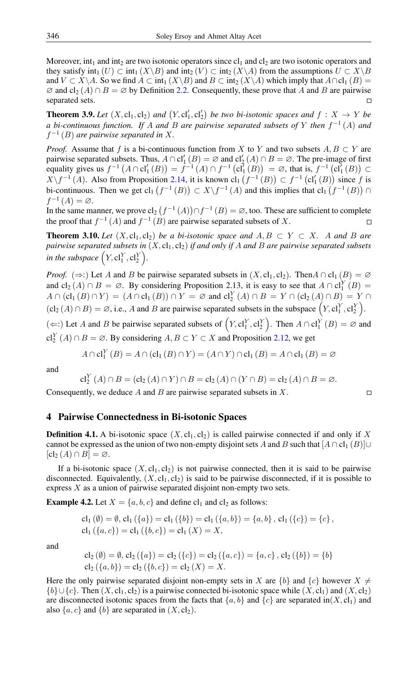Moreover, int<sub>1</sub> and int<sub>2</sub> are two isotonic operators since  $c_1$  and  $c_2$  are two isotonic operators and they satisfy int<sub>1</sub>  $(U) \subset \text{int}_1 (X \setminus B)$  and  $\text{int}_2 (V) \subset \text{int}_2 (X \setminus A)$  from the assumptions  $U \subset X \setminus B$ and  $V \subset X \backslash A$ . So we find  $A \subset \text{int}_1 (X \backslash B)$  and  $B \subset \text{int}_2 (X \backslash A)$  which imply that  $A \cap cl_1 (B) =$  $\varnothing$  and  $cl_2(A) \cap B = \varnothing$  by Definition [2.2.](#page-1-0) Consequently, these prove that A and B are pairwise separated sets.

**Theorem 3.9.** Let  $(X, cl_1, cl_2)$  and  $(Y, cl'_1, cl'_2)$  be two bi-isotonic spaces and  $f : X \rightarrow Y$  be *a bi-continuous function. If* A *and* B *are pairwise separated subsets of* Y *then* f −1 (A) *and* f −1 (B) *are pairwise separated in* X*.*

*Proof.* Assume that f is a bi-continuous function from X to Y and two subsets  $A, B \subset Y$  are pairwise separated subsets. Thus,  $A \cap cl'_1(B) = \emptyset$  and  $cl'_2(A) \cap B = \emptyset$ . The pre-image of first equality gives us  $f^{-1}(A \cap cl'_1(B)) = f^{-1}(A) \cap f^{-1}(cl'_1(B)) = \emptyset$ , that is,  $f^{-1}(cl'_1(B)) \subset$  $X\setminus f^{-1}(A)$ . Also from Proposition [2.14,](#page-2-0) it is known  $\text{cl}_1(f^{-1}(B)) \subset f^{-1}(\text{cl}'_1(B))$  since f is bi-continuous. Then we get  $cl_1(f^{-1}(B)) \subset X \setminus f^{-1}(A)$  and this implies that  $cl_1(f^{-1}(B)) \cap$  $f^{-1}(A) = \varnothing$ .

In the same manner, we prove  $\text{cl}_2(f^{-1}(A)) \cap f^{-1}(B) = \emptyset$ , too. These are sufficient to complete the proof that  $f^{-1}(A)$  and  $f^{-1}(B)$  are pairwise separated subsets of X.  $\Box$ 

**Theorem 3.10.** *Let*  $(X, cl_1, cl_2)$  *be a bi-isotonic space and*  $A, B \subset Y \subset X$ *. A and B are pairwise separated subsets in*  $(X, cl_1, cl_2)$  *if and only if A and B are pairwise separated subsets in the subspace*  $(Y, \text{cl}_1^Y, \text{cl}_2^Y)$ .

*Proof.* ( $\Rightarrow$ :) Let A and B be pairwise separated subsets in  $(X, cl_1, cl_2)$ . ThenA  $\cap cl_1(B) = \emptyset$ and  $cl_2(A) \cap B = \emptyset$ . By considering Proposition 2.13, it is easy to see that  $A \cap cl_1^Y(B) =$  $A \cap (cl_1(B) \cap Y) = (A \cap cl_1(B)) \cap Y = \emptyset$  and  $cl_2^Y(A) \cap B = Y \cap (cl_2(A) \cap B) = Y \cap$  $(cl_2(A) \cap B) = \emptyset$ , i.e., A and B are pairwise separated subsets in the subspace  $(Y, cl_1^Y, cl_2^Y)$ .

(←:) Let A and B be pairwise separated subsets of  $(Y, cl_1^Y, cl_2^Y)$ . Then  $A ∩ cl_1^Y (B) = \emptyset$  and cl<sup>Y</sup><sub>2</sub> (A) ∩ B = ∅. By considering  $A, B \subset Y \subset X$  and Proposition [2.12,](#page-1-1) we get

$$
A \cap \mathbf{cl}_1^Y(B) = A \cap (\mathbf{cl}_1(B) \cap Y) = (A \cap Y) \cap \mathbf{cl}_1(B) = A \cap \mathbf{cl}_1(B) = \emptyset
$$

and

$$
\mathrm{cl}_2^Y(A) \cap B = (\mathrm{cl}_2(A) \cap Y) \cap B = \mathrm{cl}_2(A) \cap (Y \cap B) = \mathrm{cl}_2(A) \cap B = \varnothing.
$$

 $\Box$ 

Consequently, we deduce A and B are pairwise separated subsets in  $X$ .

### 4 Pairwise Connectedness in Bi-isotonic Spaces

**Definition 4.1.** A bi-isotonic space  $(X, cl_1, cl_2)$  is called pairwise connected if and only if X cannot be expressed as the union of two non-empty disjoint sets A and B such that  $[A \cap cl_1 (B)] \cup$  $[cl_2(A) \cap B] = \emptyset.$ 

If a bi-isotonic space  $(X, cl_1, cl_2)$  is not pairwise connected, then it is said to be pairwise disconnected. Equivalently,  $(X, cl_1, cl_2)$  is said to be pairwise disconnected, if it is possible to express X as a union of pairwise separated disjoint non-empty two sets.

**Example 4.2.** Let  $X = \{a, b, c\}$  and define cl<sub>1</sub> and cl<sub>2</sub> as follows:

$$
cl_1(\emptyset) = \emptyset, cl_1(\{a\}) = cl_1(\{b\}) = cl_1(\{a, b\}) = \{a, b\}, cl_1(\{c\}) = \{c\},
$$
  

$$
cl_1(\{a, c\}) = cl_1(\{b, c\}) = cl_1(X) = X,
$$

and

$$
cl_2 (\emptyset) = \emptyset, cl_2 (\{a\}) = cl_2 (\{c\}) = cl_2 (\{a, c\}) = \{a, c\}, cl_2 (\{b\}) = \{b\}
$$
  

$$
cl_2 (\{a, b\}) = cl_2 (\{b, c\}) = cl_2 (X) = X.
$$

Here the only pairwise separated disjoint non-empty sets in X are  $\{b\}$  and  $\{c\}$  however  $X \neq$  ${b} \cup {c}$ . Then  $(X, cl_1, cl_2)$  is a pairwise connected bi-isotonic space while  $(X, cl_1)$  and  $(X, cl_2)$ are disconnected isotonic spaces from the facts that  $\{a, b\}$  and  $\{c\}$  are separated in $(X, cl_1)$  and also  $\{a, c\}$  and  $\{b\}$  are separated in  $(X, \text{cl}_2)$ .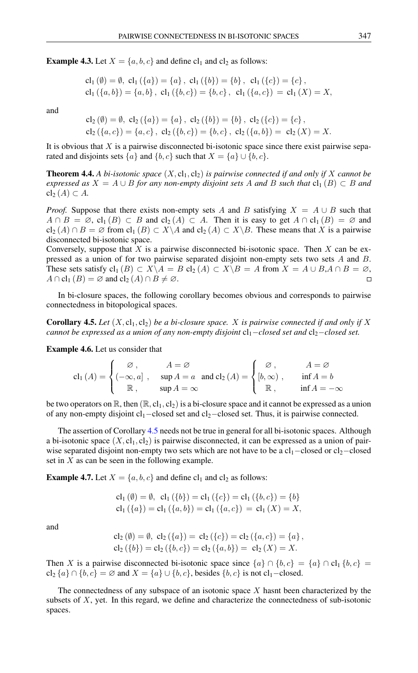**Example 4.3.** Let  $X = \{a, b, c\}$  and define cl<sub>1</sub> and cl<sub>2</sub> as follows:

$$
cl_1(\emptyset) = \emptyset, cl_1(\{a\}) = \{a\}, cl_1(\{b\}) = \{b\}, cl_1(\{c\}) = \{c\},
$$
  

$$
cl_1(\{a, b\}) = \{a, b\}, cl_1(\{b, c\}) = \{b, c\}, cl_1(\{a, c\}) = cl_1(X) = X,
$$

and

$$
\text{cl}_2(\emptyset) = \emptyset, \ \text{cl}_2(\{a\}) = \{a\}, \ \text{cl}_2(\{b\}) = \{b\}, \ \text{cl}_2(\{c\}) = \{c\},
$$
\n
$$
\text{cl}_2(\{a, c\}) = \{a, c\}, \ \text{cl}_2(\{b, c\}) = \{b, c\}, \ \text{cl}_2(\{a, b\}) = \text{cl}_2(X) = X.
$$

It is obvious that  $X$  is a pairwise disconnected bi-isotonic space since there exist pairwise separated and disjoints sets  $\{a\}$  and  $\{b, c\}$  such that  $X = \{a\} \cup \{b, c\}$ .

**Theorem 4.4.** A bi-isotonic space  $(X, cl_1, cl_2)$  is pairwise connected if and only if X cannot be *expressed as*  $X = A \cup B$  *for any non-empty disjoint sets* A *and* B *such that*  $cl_1(B) \subset B$  *and*  $\text{cl}_2(A) \subset A$ .

*Proof.* Suppose that there exists non-empty sets A and B satisfying  $X = A \cup B$  such that  $A \cap B = \emptyset$ ,  $\text{cl}_1(B) \subset B$  and  $\text{cl}_2(A) \subset A$ . Then it is easy to get  $A \cap \text{cl}_1(B) = \emptyset$  and  $\text{cl}_2(A) \cap B = \emptyset$  from  $\text{cl}_1(B) \subset X \backslash A$  and  $\text{cl}_2(A) \subset X \backslash B$ . These means that X is a pairwise disconnected bi-isotonic space.

Conversely, suppose that  $X$  is a pairwise disconnected bi-isotonic space. Then  $X$  can be expressed as a union of for two pairwise separated disjoint non-empty sets two sets A and B. These sets satisfy  $cl_1(B) \subset X \backslash A = B cl_2(A) \subset X \backslash B = A$  from  $X = A \cup B, A \cap B = \emptyset$ ,  $A \cap$  cl<sub>1</sub>  $(B) = \emptyset$  and cl<sub>2</sub>  $(A) \cap B \neq \emptyset$ .  $\Box$ 

In bi-closure spaces, the following corollary becomes obvious and corresponds to pairwise connectedness in bitopological spaces.

<span id="page-5-0"></span>**Corollary 4.5.** Let  $(X, cl_1, cl_2)$  be a bi-closure space. X is pairwise connected if and only if X *cannot be expressed as a union of any non-empty disjoint*  $cl_1$ *-closed set and*  $cl_2$ *-closed set.* 

Example 4.6. Let us consider that

$$
cl_1(A) = \begin{cases} \varnothing, & A = \varnothing \\ (-\infty, a] , & \sup A = a \text{ and } cl_2(A) = \begin{cases} \varnothing, & A = \varnothing \\ [b, \infty) , & \inf A = b \\ \mathbb{R}, & \sup A = \infty \end{cases} \end{cases}
$$

be two operators on  $\mathbb{R}$ , then  $(\mathbb{R}, cl_1, cl_2)$  is a bi-closure space and it cannot be expressed as a union of any non-empty disjoint cl1−closed set and cl2−closed set. Thus, it is pairwise connected.

The assertion of Corollary [4.5](#page-5-0) needs not be true in general for all bi-isotonic spaces. Although a bi-isotonic space  $(X, cl_1, cl_2)$  is pairwise disconnected, it can be expressed as a union of pairwise separated disjoint non-empty two sets which are not have to be a  $cl<sub>1</sub>$ −closed or  $cl<sub>2</sub>$ −closed set in  $X$  as can be seen in the following example.

**Example 4.7.** Let  $X = \{a, b, c\}$  and define cl<sub>1</sub> and cl<sub>2</sub> as follows:

$$
cl_1 (\emptyset) = \emptyset, cl_1 (\{b\}) = cl_1 (\{c\}) = cl_1 (\{b, c\}) = \{b\}
$$
  

$$
cl_1 (\{a\}) = cl_1 (\{a, b\}) = cl_1 (\{a, c\}) = cl_1 (X) = X,
$$

and

$$
cl_2(\emptyset) = \emptyset, cl_2(\{a\}) = cl_2(\{c\}) = cl_2(\{a, c\}) = \{a\},
$$
  

$$
cl_2(\{b\}) = cl_2(\{b, c\}) = cl_2(\{a, b\}) = cl_2(X) = X.
$$

Then X is a pairwise disconnected bi-isotonic space since  $\{a\} \cap \{b, c\} = \{a\} \cap cl_1 \{b, c\} =$ cl<sub>2</sub> {a} ∩ {b, c} = ∅ and  $X = \{a\} \cup \{b, c\}$ , besides {b, c} is not cl<sub>1</sub>-closed.

The connectedness of any subspace of an isotonic space X hasnt been characterized by the subsets of X, yet. In this regard, we define and characterize the connectedness of sub-isotonic spaces.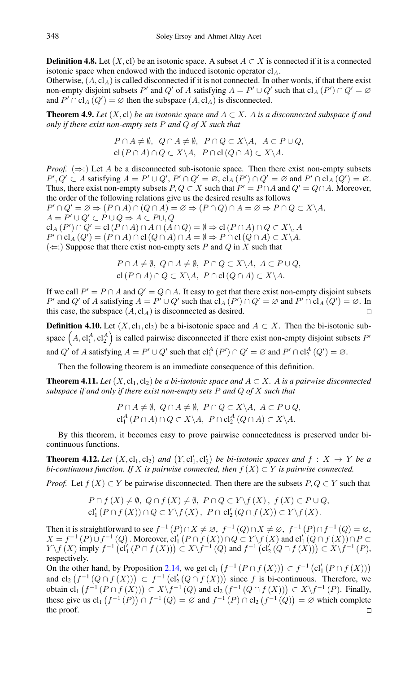**Definition 4.8.** Let  $(X, c)$  be an isotonic space. A subset  $A \subset X$  is connected if it is a connected isotonic space when endowed with the induced isotonic operator  $cl_A$ .

Otherwise,  $(A, cI<sub>A</sub>)$  is called disconnected if it is not connected. In other words, if that there exist non-empty disjoint subsets P' and Q' of A satisfying  $A = P' \cup Q'$  such that  $\text{cl}_A(P') \cap Q' = \emptyset$ and  $P' \cap \text{cl}_A(Q') = \emptyset$  then the subspace  $(A, \text{cl}_A)$  is disconnected.

**Theorem 4.9.** *Let*  $(X, c)$  *be an isotonic space and*  $A \subset X$ *. A is a disconnected subspace if and only if there exist non-empty sets* P *and* Q *of* X *such that*

$$
P \cap A \neq \emptyset, \ Q \cap A \neq \emptyset, \ P \cap Q \subset X \setminus A, \ A \subset P \cup Q,
$$
  
cl  $(P \cap A) \cap Q \subset X \setminus A, \ P \cap cl(Q \cap A) \subset X \setminus A.$ 

*Proof.* ( $\Rightarrow$ :) Let A be a disconnected sub-isotonic space. Then there exist non-empty subsets  $P', Q' \subset A$  satisfying  $A = P' \cup Q', P' \cap Q' = \emptyset$ ,  $cl_A(P') \cap Q' = \emptyset$  and  $P' \cap cl_A(Q') = \emptyset$ . Thus, there exist non-empty subsets  $P, Q \subset X$  such that  $P' = P \cap A$  and  $Q' = Q \cap A$ . Moreover, the order of the following relations give us the desired results as follows  $P' \cap Q' = \emptyset \Rightarrow (P \cap A) \cap (Q \cap A) = \emptyset \Rightarrow (P \cap Q) \cap A = \emptyset \Rightarrow P \cap Q \subset X \backslash A$  $A = P' \cup Q' \subset P \cup Q \Rightarrow A \subset P \cup Q$  $\operatorname{cl}_A(P') \cap Q' = \operatorname{cl}(P \cap A) \cap A \cap (A \cap Q) = \emptyset \Rightarrow \operatorname{cl}(P \cap A) \cap Q \subset X \setminus A$ 

 $P' \cap \text{cl}_A(Q') = (P \cap A) \cap \text{cl}(Q \cap A) \cap A = \emptyset \Rightarrow P \cap \text{cl}(Q \cap A) \subset X \backslash A.$  $(\Leftarrow)$  Suppose that there exist non-empty sets P and Q in X such that

$$
P \cap A \neq \emptyset, \ Q \cap A \neq \emptyset, \ P \cap Q \subset X \setminus A, \ A \subset P \cup Q,
$$
  
cl  $(P \cap A) \cap Q \subset X \setminus A, \ P \cap cl \ (Q \cap A) \subset X \setminus A.$ 

If we call  $P' = P \cap A$  and  $Q' = Q \cap A$ . It easy to get that there exist non-empty disjoint subsets P' and Q' of A satisfying  $A = P' \cup Q'$  such that  $\text{cl}_A(P') \cap Q' = \emptyset$  and  $P' \cap \text{cl}_A(Q') = \emptyset$ . In this case, the subspace  $(A, cI<sub>A</sub>)$  is disconnected as desired.  $\Box$ 

**Definition 4.10.** Let  $(X, cl_1, cl_2)$  be a bi-isotonic space and  $A \subset X$ . Then the bi-isotonic subspace  $(A, cl_1^A, cl_2^A)$  is called pairwise disconnected if there exist non-empty disjoint subsets P' and Q' of A satisfying  $A = P' \cup Q'$  such that  $cl_1^A(P') \cap Q' = \emptyset$  and  $P' \cap cl_2^A(Q') = \emptyset$ .

Then the following theorem is an immediate consequence of this definition.

**Theorem 4.11.** *Let*  $(X, cl_1, cl_2)$  *be a bi-isotonic space and*  $A \subset X$ *. A is a pairwise disconnected subspace if and only if there exist non-empty sets* P *and* Q *of* X *such that*

$$
P \cap A \neq \emptyset, \ Q \cap A \neq \emptyset, \ P \cap Q \subset X \setminus A, \ A \subset P \cup Q,
$$
  

$$
cl_1^A (P \cap A) \cap Q \subset X \setminus A, \ P \cap cl_2^A (Q \cap A) \subset X \setminus A.
$$

By this theorem, it becomes easy to prove pairwise connectedness is preserved under bicontinuous functions.

**Theorem 4.12.** Let  $(X, cl_1, cl_2)$  and  $(Y, cl'_1, cl'_2)$  be bi-isotonic spaces and  $f : X \to Y$  be a *bi-continuous function. If* X *is pairwise connected, then*  $f(X) \subset Y$  *is pairwise connected.* 

*Proof.* Let  $f(X) \subset Y$  be pairwise disconnected. Then there are the subsets  $P, Q \subset Y$  such that

$$
P \cap f(X) \neq \emptyset, \ Q \cap f(X) \neq \emptyset, \ P \cap Q \subset Y \setminus f(X), \ f(X) \subset P \cup Q,
$$
  

$$
cl'_1(P \cap f(X)) \cap Q \subset Y \setminus f(X), \ P \cap cl'_2(Q \cap f(X)) \subset Y \setminus f(X).
$$

Then it is straightforward to see  $f^{-1}(P) \cap X \neq \emptyset$ ,  $f^{-1}(Q) \cap X \neq \emptyset$ ,  $f^{-1}(P) \cap f^{-1}(Q) = \emptyset$ ,  $X = f^{-1}(P) \cup f^{-1}(Q)$ . Moreover,  $\text{cl}'_1(P \cap f(X)) \cap Q \subset Y \setminus f(X)$  and  $\text{cl}'_1(Q \cap f(X)) \cap P \subset$  $Y \setminus f(X)$  imply  $f^{-1}(\text{cl}'_1(P \cap f(X))) \subset X \setminus f^{-1}(Q)$  and  $f^{-1}(\text{cl}'_2(Q \cap f(X))) \subset X \setminus f^{-1}(P)$ , respectively.

On the other hand, by Proposition [2.14,](#page-2-0) we get  $\text{cl}_1(f^{-1}(P \cap f(X))) \subset f^{-1}(\text{cl}'_1(P \cap f(X)))$ and  $\text{cl}_2(f^{-1}(Q \cap f(X))) \subset f^{-1}(\text{cl}'_2(Q \cap f(X)))$  since f is bi-continuous. Therefore, we obtain  $\text{cl}_1(f^{-1}(P \cap f(X))) \subset X \backslash f^{-1}(Q)$  and  $\text{cl}_2(f^{-1}(Q \cap f(X))) \subset X \backslash f^{-1}(P)$ . Finally, these give us  $cl_1(f^{-1}(P)) \cap f^{-1}(Q) = \emptyset$  and  $f^{-1}(P) \cap cl_2(f^{-1}(Q)) = \emptyset$  which complete the proof. $\Box$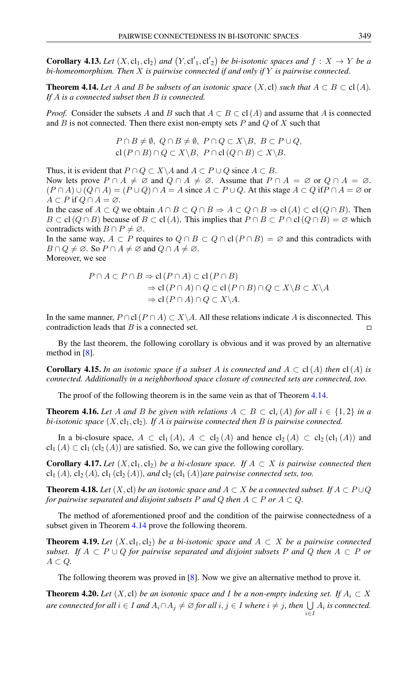**Corollary 4.13.** Let  $(X, cl_1, cl_2)$  and  $(Y, cl'_1, cl'_2)$  be bi-isotonic spaces and  $f : X \to Y$  be a *bi-homeomorphism. Then* X *is pairwise connected if and only if* Y *is pairwise connected.*

<span id="page-7-0"></span>**Theorem 4.14.** Let A and B be subsets of an isotonic space  $(X, \text{cl})$  such that  $A \subset B \subset \text{cl}(A)$ . *If* A *is a connected subset then* B *is connected.*

*Proof.* Consider the subsets A and B such that  $A \subset B \subset cl(A)$  and assume that A is connected and  $B$  is not connected. Then there exist non-empty sets  $P$  and  $Q$  of  $X$  such that

$$
P \cap B \neq \emptyset, \ Q \cap B \neq \emptyset, \ P \cap Q \subset X \setminus B, \ B \subset P \cup Q,
$$
  
cl  $(P \cap B) \cap Q \subset X \setminus B, \ P \cap cl \ (Q \cap B) \subset X \setminus B.$ 

Thus, it is evident that  $P \cap Q \subset X \backslash A$  and  $A \subset P \cup Q$  since  $A \subset B$ . Now lets prove  $P \cap A \neq \emptyset$  and  $Q \cap A \neq \emptyset$ . Assume that  $P \cap A = \emptyset$  or  $Q \cap A = \emptyset$ .  $(P \cap A) \cup (Q \cap A) = (P \cup Q) \cap A = A$  since  $A \subset P \cup Q$ . At this stage  $A \subset Q$  if  $P \cap A = \emptyset$  or  $A \subset P$  if  $Q \cap A = \emptyset$ .

In the case of  $A \subset Q$  we obtain  $A \cap B \subset Q \cap B \Rightarrow A \subset Q \cap B \Rightarrow cl(A) \subset cl(Q \cap B)$ . Then  $B \subset cl(Q \cap B)$  because of  $B \subset cl(A)$ . This implies that  $P \cap B \subset P \cap cl(Q \cap B) = \emptyset$  which contradicts with  $B \cap P \neq \emptyset$ .

In the same way,  $A \subset P$  requires to  $Q \cap B \subset Q \cap cl(P \cap B) = \emptyset$  and this contradicts with  $B \cap Q \neq \emptyset$ . So  $P \cap A \neq \emptyset$  and  $Q \cap A \neq \emptyset$ .

Moreover, we see

$$
P \cap A \subset P \cap B \Rightarrow cl(P \cap A) \subset cl(P \cap B)
$$
  
\n
$$
\Rightarrow cl(P \cap A) \cap Q \subset cl(P \cap B) \cap Q \subset X \setminus B \subset X \setminus A
$$
  
\n
$$
\Rightarrow cl(P \cap A) \cap Q \subset X \setminus A.
$$

In the same manner,  $P \cap cl(P \cap A) \subset X \backslash A$ . All these relations indicate A is disconnected. This contradiction leads that B is a connected set.  $\Box$ 

By the last theorem, the following corollary is obvious and it was proved by an alternative method in [\[8\]](#page-9-8).

**Corollary 4.15.** In an isotonic space if a subset A is connected and  $A \subset cl(A)$  then  $cl(A)$  is *connected. Additionally in a neighborhood space closure of connected sets are connected, too.*

The proof of the following theorem is in the same vein as that of Theorem [4.14.](#page-7-0)

**Theorem 4.16.** Let A and B be given with relations  $A \subset B \subset cl_i(A)$  for all  $i \in \{1,2\}$  in a *bi-isotonic space*  $(X, cl_1, cl_2)$ *. If A is pairwise connected then B is pairwise connected.* 

In a bi-closure space,  $A \subset cl_1(A)$ ,  $A \subset cl_2(A)$  and hence  $cl_2(A) \subset cl_2(cl_1(A))$  and  $\text{cl}_1(A) \subset \text{cl}_1(\text{cl}_2(A))$  are satisfied. So, we can give the following corollary.

<span id="page-7-3"></span>**Corollary 4.17.** Let  $(X, cl_1, cl_2)$  be a bi-closure space. If  $A \subset X$  is pairwise connected then cl<sub>1</sub> (A), cl<sub>2</sub> (A), cl<sub>1</sub> (cl<sub>2</sub> (A)), and cl<sub>2</sub> (cl<sub>1</sub> (A)) are pairwise connected sets, too.

<span id="page-7-1"></span>**Theorem 4.18.** *Let*  $(X, c)$  *be an isotonic space and*  $A \subset X$  *be a connected subset. If*  $A \subset P \cup Q$ *for pairwise separated and disjoint subsets* P *and* Q *then*  $A \subset P$  *or*  $A \subset Q$ *.* 

The method of aforementioned proof and the condition of the pairwise connectedness of a subset given in Theorem [4.14](#page-7-0) prove the following theorem.

<span id="page-7-2"></span>**Theorem 4.19.** Let  $(X, cl_1, cl_2)$  be a bi-isotonic space and  $A \subset X$  be a pairwise connected *subset.* If  $A \subseteq P \cup Q$  *for pairwise separated and disjoint subsets* P *and* Q *then*  $A \subseteq P$  *or*  $A \subset Q$ .

The following theorem was proved in [\[8\]](#page-9-8). Now we give an alternative method to prove it.

**Theorem 4.20.** Let  $(X, c)$  be an isotonic space and I be a non-empty indexing set. If  $A_i \subset X$  $a$ re connected for all  $i \in I$  and  $A_i \cap A_j \neq \varnothing$  for all  $i, j \in I$  where  $i \neq j$ , then  $\bigcup A_i$  is connected. i∈I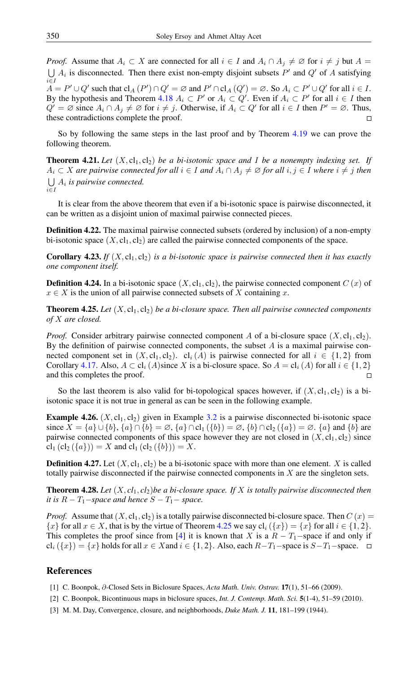*Proof.* Assume that  $A_i \subset X$  are connected for all  $i \in I$  and  $A_i \cap A_j \neq \emptyset$  for  $i \neq j$  but  $A =$  $\bigcup A_i$  is disconnected. Then there exist non-empty disjoint subsets P' and Q' of A satisfying i∈I  $\overline{A} = P' \cup Q'$  such that  $\text{cl}_A(P') \cap Q' = \emptyset$  and  $P' \cap \text{cl}_A(Q') = \emptyset$ . So  $A_i \subset P' \cup Q'$  for all  $i \in I$ . By the hypothesis and Theorem [4.18](#page-7-1)  $A_i \subset P'$  or  $A_i \subset Q'$ . Even if  $A_i \subset P'$  for all  $i \in I$  then  $Q' = \emptyset$  since  $A_i \cap A_j \neq \emptyset$  for  $i \neq j$ . Otherwise, if  $A_i \subset Q'$  for all  $i \in I$  then  $P' = \emptyset$ . Thus, these contradictions complete the proof.

So by following the same steps in the last proof and by Theorem [4.19](#page-7-2) we can prove the following theorem.

**Theorem 4.21.** Let  $(X, cl_1, cl_2)$  be a bi-isotonic space and I be a nonempty indexing set. If  $A_i$  ⊂ X are pairwise connected for all  $i \in I$  and  $A_i \cap A_j \neq \emptyset$  for all  $i, j \in I$  where  $i \neq j$  then  $\bigcup A_i$  is pairwise connected. i∈I

It is clear from the above theorem that even if a bi-isotonic space is pairwise disconnected, it can be written as a disjoint union of maximal pairwise connected pieces.

**Definition 4.22.** The maximal pairwise connected subsets (ordered by inclusion) of a non-empty bi-isotonic space  $(X, cl_1, cl_2)$  are called the pairwise connected components of the space.

**Corollary 4.23.** If  $(X, cl_1, cl_2)$  is a bi-isotonic space is pairwise connected then it has exactly *one component itself.*

**Definition 4.24.** In a bi-isotonic space  $(X, cl_1, cl_2)$ , the pairwise connected component  $C(x)$  of  $x \in X$  is the union of all pairwise connected subsets of X containing x.

<span id="page-8-4"></span>**Theorem 4.25.** Let  $(X, cl_1, cl_2)$  be a bi-closure space. Then all pairwise connected components *of* X *are closed.*

*Proof.* Consider arbitrary pairwise connected component A of a bi-closure space  $(X, cl_1, cl_2)$ . By the definition of pairwise connected components, the subset  $A$  is a maximal pairwise connected component set in  $(X, cl_1, cl_2)$ .  $cl_i(A)$  is pairwise connected for all  $i \in \{1, 2\}$  from Corollary [4.17.](#page-7-3) Also,  $A \subset cl_i(A)$  since X is a bi-closure space. So  $A = cl_i(A)$  for all  $i \in \{1, 2\}$ and this completes the proof.  $\Box$ 

So the last theorem is also valid for bi-topological spaces however, if  $(X, cl_1, cl_2)$  is a biisotonic space it is not true in general as can be seen in the following example.

**Example 4.26.**  $(X, cl_1, cl_2)$  given in Example [3.2](#page-2-1) is a pairwise disconnected bi-isotonic space since  $X = \{a\} \cup \{b\}$ ,  $\{a\} \cap \{b\} = \emptyset$ ,  $\{a\} \cap \text{cl}_1(\{b\}) = \emptyset$ ,  $\{b\} \cap \text{cl}_2(\{a\}) = \emptyset$ .  $\{a\}$  and  $\{b\}$  are pairwise connected components of this space however they are not closed in  $(X, cl_1, cl_2)$  since  $cl_1$   $(cl_2 (\{a\})) = X$  and  $cl_1$   $(cl_2 (\{b\})) = X$ .

**Definition 4.27.** Let  $(X, cl_1, cl_2)$  be a bi-isotonic space with more than one element. X is called totally pairwise disconnected if the pairwise connected components in  $X$  are the singleton sets.

**Theorem 4.28.** Let  $(X, cl_1, cl_2)$  be a bi-closure space. If X is totally pairwise disconnected then *it is*  $R - T_1$ *-space and hence*  $S - T_1$ *- space.* 

*Proof.* Assume that  $(X, cl_1, cl_2)$  is a totally pairwise disconnected bi-closure space. Then  $C(x)$  =  ${x}$  for all  $x \in X$ , that is by the virtue of Theorem [4.25](#page-8-4) we say  $\text{cl}_i({x}) = {x}$  for all  $i \in {1, 2}$ . This completes the proof since from [\[4\]](#page-9-12) it is known that X is a  $R - T_1$ -space if and only if cl<sub>i</sub>  $({x}) = {x}$  holds for all  $x \in X$  and  $i \in {1, 2}$ . Also, each  $R-T_1$ -space is  $S-T_1$ -space.  $\Box$ 

#### <span id="page-8-0"></span>References

- <span id="page-8-2"></span>[1] C. Boonpok, ∂-Closed Sets in Biclosure Spaces, *Acta Math. Univ. Ostrav.* 17(1), 51–66 (2009).
- <span id="page-8-3"></span>[2] C. Boonpok, Bicontinuous maps in biclosure spaces, *Int. J. Contemp. Math. Sci.* 5(1-4), 51–59 (2010).
- <span id="page-8-1"></span>[3] M. M. Day, Convergence, closure, and neighborhoods, *Duke Math. J.* 11, 181–199 (1944).